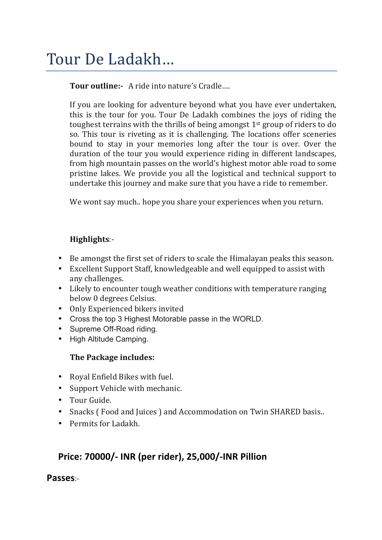# Tour De Ladakh...

**Tour outline:-** A ride into nature's Cradle....

If you are looking for adventure beyond what you have ever undertaken, this is the tour for you. Tour De Ladakh combines the joys of riding the toughest terrains with the thrills of being amongst  $1<sup>st</sup>$  group of riders to do so. This tour is riveting as it is challenging. The locations offer sceneries bound to stay in your memories long after the tour is over. Over the duration of the tour you would experience riding in different landscapes, from high mountain passes on the world's highest motor able road to some pristine lakes. We provide you all the logistical and technical support to undertake this journey and make sure that you have a ride to remember.

We wont say much.. hope you share your experiences when you return.

### **Highlights**:-

- Be amongst the first set of riders to scale the Himalayan peaks this season.
- Excellent Support Staff, knowledgeable and well equipped to assist with any challenges.
- Likely to encounter tough weather conditions with temperature ranging below 0 degrees Celsius.
- Only Experienced bikers invited
- Cross the top 3 Highest Motorable passe in the WORLD.
- Supreme Off-Road riding.
- High Altitude Camping.

#### **The Package includes:**

- Royal Enfield Bikes with fuel.
- Support Vehicle with mechanic.
- Tour Guide.
- Snacks (Food and Juices ) and Accommodation on Twin SHARED basis..
- Permits for Ladakh.

## **Price: 70000/- INR (per rider), 25,000/-INR Pillion**

#### **Passes**:-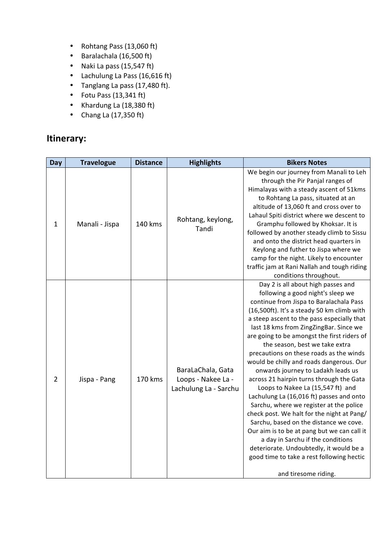- Rohtang Pass (13,060 ft)
- Baralachala (16,500 ft)
- Naki La pass (15,547 ft)
- Lachulung La Pass (16,616 ft)
- Tanglang La pass (17,480 ft).
- Fotu Pass  $(13,341 \text{ ft})$
- Khardung La (18,380 ft)
- Chang La  $(17,350 \text{ ft})$

## **Itinerary:**

| Day            | <b>Travelogue</b> | <b>Distance</b> | <b>Highlights</b>                                                | <b>Bikers Notes</b>                                                                                                                                                                                                                                                                                                                                                                                                                                                                                                                                                                                                                                                                                                                                                                                                                                                                                                                        |
|----------------|-------------------|-----------------|------------------------------------------------------------------|--------------------------------------------------------------------------------------------------------------------------------------------------------------------------------------------------------------------------------------------------------------------------------------------------------------------------------------------------------------------------------------------------------------------------------------------------------------------------------------------------------------------------------------------------------------------------------------------------------------------------------------------------------------------------------------------------------------------------------------------------------------------------------------------------------------------------------------------------------------------------------------------------------------------------------------------|
| $\mathbf{1}$   | Manali - Jispa    | 140 kms         | Rohtang, keylong,<br>Tandi                                       | We begin our journey from Manali to Leh<br>through the Pir Panjal ranges of<br>Himalayas with a steady ascent of 51kms<br>to Rohtang La pass, situated at an<br>altitude of 13,060 ft and cross over to<br>Lahaul Spiti district where we descent to<br>Gramphu followed by Khoksar. It is<br>followed by another steady climb to Sissu<br>and onto the district head quarters in<br>Keylong and futher to Jispa where we<br>camp for the night. Likely to encounter<br>traffic jam at Rani Nallah and tough riding<br>conditions throughout.                                                                                                                                                                                                                                                                                                                                                                                              |
| $\overline{2}$ | Jispa - Pang      | 170 kms         | BaraLaChala, Gata<br>Loops - Nakee La -<br>Lachulung La - Sarchu | Day 2 is all about high passes and<br>following a good night's sleep we<br>continue from Jispa to Baralachala Pass<br>(16,500ft). It's a steady 50 km climb with<br>a steep ascent to the pass especially that<br>last 18 kms from ZingZingBar. Since we<br>are going to be amongst the first riders of<br>the season, best we take extra<br>precautions on these roads as the winds<br>would be chilly and roads dangerous. Our<br>onwards journey to Ladakh leads us<br>across 21 hairpin turns through the Gata<br>Loops to Nakee La (15,547 ft) and<br>Lachulung La (16,016 ft) passes and onto<br>Sarchu, where we register at the police<br>check post. We halt for the night at Pang/<br>Sarchu, based on the distance we cove.<br>Our aim is to be at pang but we can call it<br>a day in Sarchu if the conditions<br>deteriorate. Undoubtedly, it would be a<br>good time to take a rest following hectic<br>and tiresome riding. |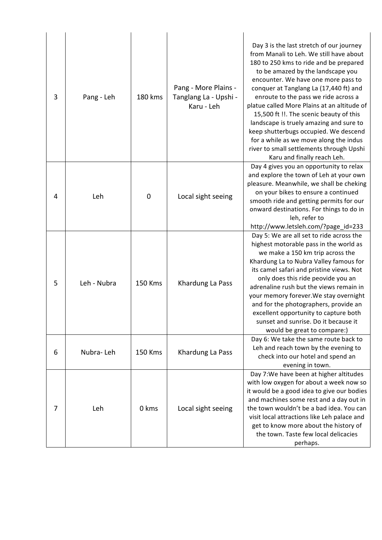| 3 | Pang - Leh  | 180 kms     | Pang - More Plains -<br>Tanglang La - Upshi -<br>Karu - Leh | Day 3 is the last stretch of our journey<br>from Manali to Leh. We still have about<br>180 to 250 kms to ride and be prepared<br>to be amazed by the landscape you<br>encounter. We have one more pass to<br>conquer at Tanglang La (17,440 ft) and<br>enroute to the pass we ride across a<br>platue called More Plains at an altitude of<br>15,500 ft !!. The scenic beauty of this<br>landscape is truely amazing and sure to<br>keep shutterbugs occupied. We descend<br>for a while as we move along the indus<br>river to small settlements through Upshi<br>Karu and finally reach Leh. |
|---|-------------|-------------|-------------------------------------------------------------|------------------------------------------------------------------------------------------------------------------------------------------------------------------------------------------------------------------------------------------------------------------------------------------------------------------------------------------------------------------------------------------------------------------------------------------------------------------------------------------------------------------------------------------------------------------------------------------------|
| 4 | Leh         | $\mathbf 0$ | Local sight seeing                                          | Day 4 gives you an opportunity to relax<br>and explore the town of Leh at your own<br>pleasure. Meanwhile, we shall be cheking<br>on your bikes to ensure a continued<br>smooth ride and getting permits for our<br>onward destinations. For things to do in<br>leh, refer to<br>http://www.letsleh.com/?page_id=233                                                                                                                                                                                                                                                                           |
| 5 | Leh - Nubra | 150 Kms     | Khardung La Pass                                            | Day 5: We are all set to ride across the<br>highest motorable pass in the world as<br>we make a 150 km trip across the<br>Khardung La to Nubra Valley famous for<br>its camel safari and pristine views. Not<br>only does this ride peovide you an<br>adrenaline rush but the views remain in<br>your memory forever. We stay overnight<br>and for the photographers, provide an<br>excellent opportunity to capture both<br>sunset and sunrise. Do it because it<br>would be great to compare:)                                                                                               |
| 6 | Nubra-Leh   | 150 Kms     | Khardung La Pass                                            | Day 6: We take the same route back to<br>Leh and reach town by the evening to<br>check into our hotel and spend an<br>evening in town.                                                                                                                                                                                                                                                                                                                                                                                                                                                         |
| 7 | Leh         | 0 kms       | Local sight seeing                                          | Day 7: We have been at higher altitudes<br>with low oxygen for about a week now so<br>it would be a good idea to give our bodies<br>and machines some rest and a day out in<br>the town wouldn't be a bad idea. You can<br>visit local attractions like Leh palace and<br>get to know more about the history of<br>the town. Taste few local delicacies<br>perhaps.                                                                                                                                                                                                                            |